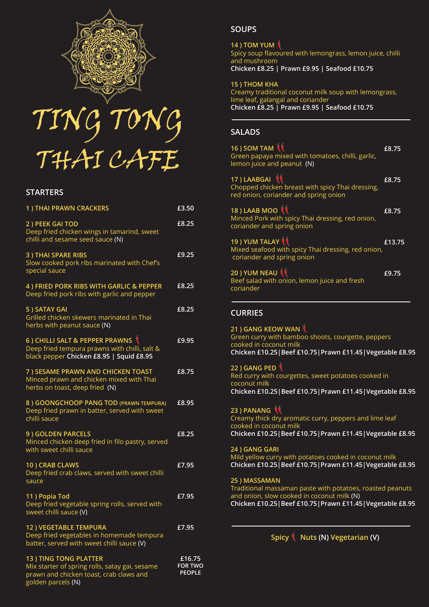



### **STARTERS**

| 1) THAI PRAWN CRACKERS                                                                                                                          | £3.50                                     |
|-------------------------------------------------------------------------------------------------------------------------------------------------|-------------------------------------------|
| 2) PEEK GAI TOD<br>Deep fried chicken wings in tamarind, sweet<br>chilli and sesame seed sauce (N)                                              | £8.25                                     |
| <b>3) THAI SPARE RIBS</b><br>Slow cooked pork ribs marinated with Chef's<br>special sauce                                                       | £9.25                                     |
| 4) FRIED PORK RIBS WITH GARLIC & PEPPER<br>Deep fried pork ribs with garlic and pepper                                                          | £8.25                                     |
| 5) SATAY GAI<br>Grilled chicken skewers marinated in Thai<br>herbs with peanut sauce (N)                                                        | £8.25                                     |
| 6) CHILLI SALT & PEPPER PRAWNS<br>Deep fried tempura prawns with chilli, salt &<br>black pepper Chicken £8.95   Squid £8.95                     | £9.95                                     |
| 7) SESAME PRAWN AND CHICKEN TOAST<br>Minced prawn and chicken mixed with Thai<br>herbs on toast, deep fried (N)                                 | £8.75                                     |
| 8) GOONGCHOOP PANG TOD (PRAWN TEMPURA)<br>Deep fried prawn in batter, served with sweet<br>chilli sauce                                         | £8.95                                     |
| 9) GOLDEN PARCELS<br>Minced chicken deep fried in filo pastry, served<br>with sweet chilli sauce                                                | £8.25                                     |
| 10) CRAB CLAWS<br>Deep fried crab claws, served with sweet chilli<br>sauce                                                                      | £7.95                                     |
| 11) Popia Tod<br>Deep fried vegetable spring rolls, served with<br>sweet chilli sauce (V)                                                       | £7.95                                     |
| 12) VEGETABLE TEMPURA<br>Deep fried vegetables in homemade tempura<br>batter, served with sweet chilli sauce (V)                                | £7.95                                     |
| <b>13) TING TONG PLATTER</b><br>Mix starter of spring rolls, satay gai, sesame<br>prawn and chicken toast, crab claws and<br>golden parcels (N) | £16.75<br><b>FOR TWO</b><br><b>PEOPLE</b> |

## **SOUPS**

#### **14 ) TOM YUM**

Spicy soup flavoured with lemongrass, lemon juice, chilli and mushroom **Chicken £8.25 | Prawn £9.95 | Seafood £10.75**

**15 ) THOM KHA**

Creamy traditional coconut milk soup with lemongrass, lime leaf, galangal and coriander **Chicken £8.25 | Prawn £9.95 | Seafood £10.75** 

# **SALADS**

| 16) SOM TAM $\mathbf{\hat{N}}$<br>Green papaya mixed with tomatoes, chilli, garlic,<br>lemon juice and peanut (N)                                                   | £8.75  |  |
|---------------------------------------------------------------------------------------------------------------------------------------------------------------------|--------|--|
| 17) LAABGAI 1<br>Chopped chicken breast with spicy Thai dressing,<br>red onion, coriander and spring onion                                                          | £8.75  |  |
| 18) LAAB MOO <sup>tt</sup><br>Minced Pork with spicy Thai dressing, red onion,<br>coriander and spring onion                                                        | £8.75  |  |
| 19 ) YUM TALAY<br>Mixed seafood with spicy Thai dressing, red onion,<br>coriander and spring onion                                                                  | £13.75 |  |
| 20) YUM NEAU (<br>Beef salad with onion, lemon juice and fresh<br>coriander                                                                                         | £9.75  |  |
| <b>CURRIES</b>                                                                                                                                                      |        |  |
| 21 ) GANG KEOW WAN<br>Green curry with bamboo shoots, courgette, peppers<br>cooked in coconut milk<br>Chicken £10.25   Beef £10.75   Prawn £11.45   Vegetable £8.95 |        |  |
| 22 ) GANG PED<br>Red curry with courgettes, sweet potatoes cooked in<br>coconut milk<br>Chicken £10.25   Beef £10.75   Prawn £11.45   Vegetable £8.95               |        |  |
| 23 ) PANANG (<br>Creamy thick dry aromatic curry, peppers and lime leaf<br>cooked in coconut milk<br>Chicken £10.25   Beef £10.75   Prawn £11.45   Vegetable £8.95  |        |  |
| 24) GANG GARI<br>Mild yellow curry with potatoes cooked in coconut milk<br>Chicken £10.25 Beef £10.75   Prawn £11.45   Vegetable £8.95                              |        |  |
| 25) MASSAMAN<br>Traditional massaman paste with potatoes, roasted peanuts                                                                                           |        |  |

Spicy  $($  Nuts (N) Vegetarian (V)